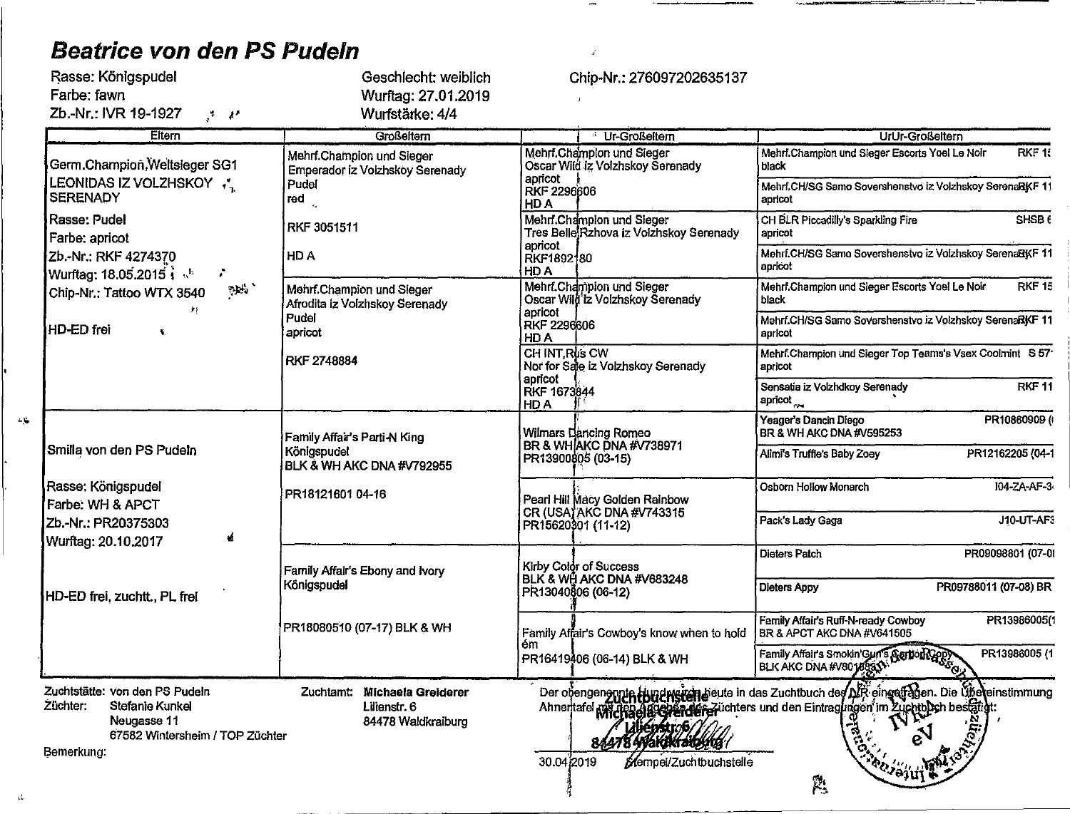# Beatrice von den PS Pudeln

 $\Delta \hat{\lambda}$ 

 $\Delta t$ 

| Rasse: Königspudel                                              | Geschlecht: weiblich                                         |  |
|-----------------------------------------------------------------|--------------------------------------------------------------|--|
| Farbe: fawn                                                     | Wurftag: 27.01.2019                                          |  |
| Zb.-Nr.: IVR 19-1927<br>- مع ج                                  | Wurfstärke: 4/4                                              |  |
| Eltern                                                          | Großeltern                                                   |  |
| Germ.Champion, Weltsleger SG1<br><b>LEADERA CITIZAT SUAIZON</b> | Mehrf.Champion und Sieger<br>Emperador iz Volzhskoy Serenady |  |

Chip-Nr.: 276097202635137

 $\mathcal{L}$ 

 $\mathbf{J}$ 

| Eltern                                                                                                                        | <b>Großeltern</b>                                                                                          |                                                                                                                                                                         | Ur-Großeltern                                                        | UrUr-Großeltern                                                                                                                                                                                            |
|-------------------------------------------------------------------------------------------------------------------------------|------------------------------------------------------------------------------------------------------------|-------------------------------------------------------------------------------------------------------------------------------------------------------------------------|----------------------------------------------------------------------|------------------------------------------------------------------------------------------------------------------------------------------------------------------------------------------------------------|
| Germ.Champion, Weltsieger SG1                                                                                                 | Mehrf.Champion und Sieger<br><b>Emperador iz Volzhskoy Serenady</b>                                        |                                                                                                                                                                         | Mehrf.Champlon und Sieger<br>Oscar Wild iz Volzhskov Serenady        | $RKF$ $R$<br>Mehrf.Champion und Sleger Escorts Yoel Le Noir<br>black                                                                                                                                       |
| LEONIDAS IZ VOLZHSKOY<br><b>SERENADY</b>                                                                                      | Pudel<br>red                                                                                               | apricot<br><b>RKF 2296606</b><br>HD A                                                                                                                                   |                                                                      | Mehrf.CH/SG Samo Sovershenstvo iz Volzhskoy SerenaRKF 11<br>apricot                                                                                                                                        |
| Rasse: Pudel<br>Farbe: apricot                                                                                                | RKF 3051511                                                                                                |                                                                                                                                                                         | Mehrf.Champion und Sieger<br>Tres Belle Rzhova iz Volzhskoy Serenady | SHSB <sub>6</sub><br>CH BLR Piccadilly's Sparkling Fire<br>apricot                                                                                                                                         |
| Zb.-Nr.: RKF 4274370<br>Wurftag: 18.05.2015 in the<br>÷                                                                       | HD A                                                                                                       | apricot<br>RKF1892180<br>HD A                                                                                                                                           |                                                                      | Mehrf.CH/SG Samo Sovershenstvo iz Volzhskoy SerenaRKF 11<br>apricot                                                                                                                                        |
| $\mathbf{p}_0$ .<br>Chip-Nr.: Tattoo WTX 3540                                                                                 | Mehrf.Champion und Sleger<br>Afrodita iz Volzhskoy Serenady                                                |                                                                                                                                                                         | Mehrf.Champion und Sieger<br>Oscar Wild iz Volzhskoy Serenady        | Mehrf.Champion und Sieger Escorts Yoel Le Noir<br><b>RKF 15</b><br>black                                                                                                                                   |
| HD-ED frei<br>$\mathbf{v}$                                                                                                    | Pudel<br>apricot                                                                                           | apricot<br><b>RKF 2296606</b><br>HD A                                                                                                                                   |                                                                      | Mehrf.CH/SG Samo Sovershenstvo iz Volzhskoy SerenaBKF 11<br>apricot                                                                                                                                        |
|                                                                                                                               | <b>RKF 2748884</b>                                                                                         | CH INT.Rus CW                                                                                                                                                           | Nor for Sale iz Volzhskoy Serenady                                   | Mehrf.Champion und Sieger Top Teams's Vsex Coolmint S 57*<br>apricot                                                                                                                                       |
|                                                                                                                               | apricot<br>Sensatia iz Volzhdkoy Serenady<br>RKF 1673844<br>apricot <sub>com</sub><br>HD A                 | RKF <sub>11</sub>                                                                                                                                                       |                                                                      |                                                                                                                                                                                                            |
|                                                                                                                               | Yeager's Dancin Diego<br>BR & WH AKC DNA #V595253<br>Wilmars Dancing Romeo<br>Family Affair's Parti-N King | PR10860909 (                                                                                                                                                            |                                                                      |                                                                                                                                                                                                            |
| Smilla von den PS Pudeln                                                                                                      | Königspudel<br>BLK & WH AKC DNA #V792955                                                                   | <b>BR &amp; WHIAKC DNA #V738971</b><br>Alimi's Truffle's Baby Zoey<br>PR13900805 (03-15)<br>Osborn Hollow Monarch<br>PR18121601 04-16<br>Pearl Hill Macy Golden Rainbow | PR12162205 (04-1                                                     |                                                                                                                                                                                                            |
| Rasse: Königspudel<br>Farbe: WH & APCT                                                                                        |                                                                                                            |                                                                                                                                                                         |                                                                      | 104-ZA-AF-3                                                                                                                                                                                                |
| Zb.-Nr.: PR20375303<br>Wurftag: 20,10.2017                                                                                    |                                                                                                            |                                                                                                                                                                         | CR (USA) AKC DNA #V743315<br>PR15620301 (11-12)                      | J10-UT-AF3<br>Pack's Lady Gaga                                                                                                                                                                             |
|                                                                                                                               | Family Affair's Ebony and Ivory                                                                            |                                                                                                                                                                         | Kirby Color of Success                                               | PR09098801 (07-0)<br>Dieters Patch                                                                                                                                                                         |
| HD-ED frei, zuchtt., PL frei                                                                                                  | Königspudel                                                                                                |                                                                                                                                                                         | BLK & WH AKC DNA #V683248<br>PR13040806 (06-12)                      | <b>Dieters Appy</b><br>PR09788011 (07-08) BR                                                                                                                                                               |
|                                                                                                                               | PR18080510 (07-17) BLK & WH                                                                                |                                                                                                                                                                         | Family Affair's Cowboy's know when to hold                           | PR13986005(1<br>Family Affair's Ruff-N-ready Cowboy<br>BR & APCT AKC DNA #V641505                                                                                                                          |
|                                                                                                                               |                                                                                                            | ém                                                                                                                                                                      | PR16419406 (06-14) BLK & WH                                          | PR13986005 (1<br>Family Affair's Smokin'Gun's Sarbon Cop<br>BLK AKC DNA #V8018833                                                                                                                          |
| Zuchtstätte: von den PS Pudeln<br>Züchter:<br>Stefanie Kunkel<br>Neugasse 11<br>67582 Wintersheim / TOP Züchter<br>Bemerkung: | Zuchtamt: Michaela Greiderer<br>Lilienstr. 6<br>84478 Waldkraiburg                                         | 30.04 2019                                                                                                                                                              | Stempel/Zuchtbuchstelle                                              | Der obengen annte Hundwerten beute in das Zuchtbuch des DIR eingelfagen. Die Übereinstimmung<br>Ahneritatel Michael Bechender Züchters und den Eintragungen im Züchteben bestätigt:<br><b>RUISIUL</b><br>然 |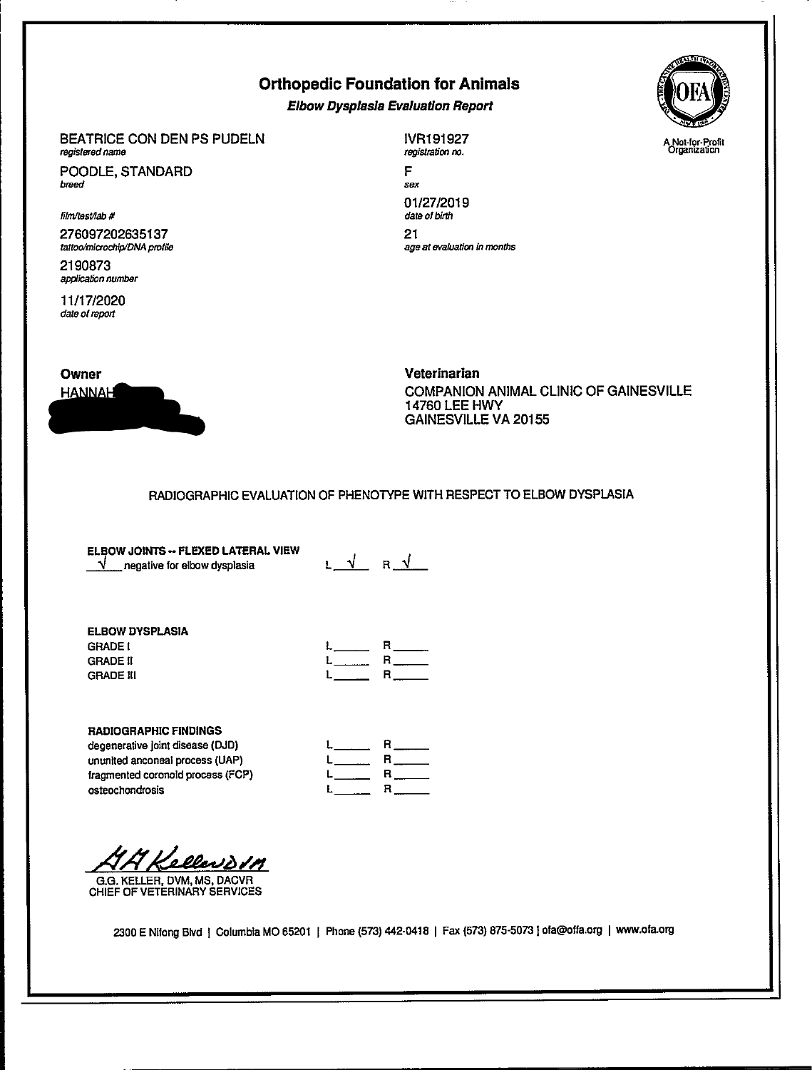# Orthopedic Foundation for Animals

Elbow Dysplasla Evaluation Report

## BEATRICE CON DEN PS PUDELN registered name

POODLE, STANDARD breed

#### film/test/lab #

276097202635137 tattoo/microchip/DNA profile

2190873 application number

11/17/2020 date of report

IVR191927 registration no.

F sex 01/27/2019 date of birth 21 age at evaluation in months



UPPERVILLE VALUE

Veterinarian COMPANION ANIMAL CLINIC OF GAINESVILLE 14760 LEE HWY GAINESVILLE VA 20155

## RADIOGRAPHIC EVALUATION OF PHENOTYPE WITH RESPECT TO ELBOW DYSPLASIA

ELBOW JOINTS-- FLEXED LATERAL VIEW  $\sqrt{\ }$  negative for elbow dysplasia

L V R V

### ELBOW DYSPLASIA **GRADE I** GRADE II GRADE III

| $L$ $\qquad$ | R.<br>$\sim$                    |
|--------------|---------------------------------|
|              | $L_{\text{max}}$ R $\text{max}$ |
|              | $L$ <sub>____</sub> R____       |

## RADIOGRAPHIC FINDINGS

degenerative joint disease (DJD) ununited anconeal process (UAP) fragmented coronold process (FCP) osteochondrosis

| $\mathsf{L}$ and $\mathsf{L}$ | $R_{\frac{1}{2}}$ |
|-------------------------------|-------------------|
|                               |                   |
|                               |                   |
|                               |                   |

<u>Kellevovn</u>

G.G. KELLER, DVM, MS, DACVR CHIEF OF VETERINARY SERVICES

2300 E Nifong Blvd | Columbia MO 65201 | Phone (573) 442-0418 | Fax (573) 875-5073 | ofa@offa.org | www.ofa.org

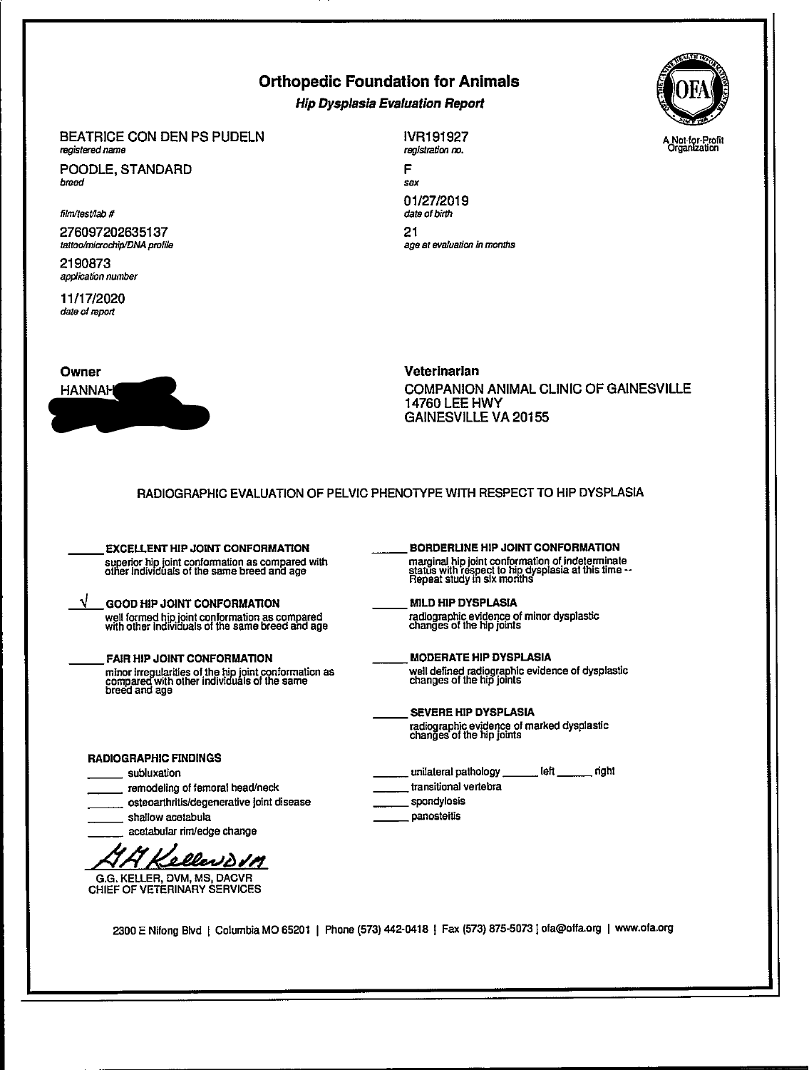# Orthopedic Foundation for Animals

Hip Dysplasia Evaluation Report

#### BEATRICE CON DEN PS PUDELN registered name

POODLE, STANDARD breed

film/test/lab #

276097202635137 tattoo/microchip/DNA profile

2190873 application number

11/17/2020 dale of report



IVR191927 registration no. F sex

01/27/2019 date of birth 21 age at evaluation in months



## Veterinarian COMPANION ANIMAL CLINIC OF GAINESVILLE 14760 LEE HWY GAINESVILLE VA 20155

| <b>EXCELLENT HIP JOINT CONFORMATION</b>                                                                               | BORDERLINE HIP JOINT CONFORMATION                                                                                                      |
|-----------------------------------------------------------------------------------------------------------------------|----------------------------------------------------------------------------------------------------------------------------------------|
| superior hip joint conformation as compared with<br>other individuals of the same breed and age                       | marginal hip joint conformation of indeterminate<br>status with respect to hip dysplasia at this time --<br>Repeat study in six months |
| <b>GOOD HIP JOINT CONFORMATION</b>                                                                                    | <b>MILD HIP DYSPLASIA</b>                                                                                                              |
| well formed hip joint conformation as compared<br>with other individuals of the same breed and age                    | radiographic evidence of minor dysplastic<br>changes of the hip joints                                                                 |
| <b>FAIR HIP JOINT CONFORMATION</b>                                                                                    | <b>MODERATE HIP DYSPLASIA</b>                                                                                                          |
| minor irregularities of the hip joint conformation as<br>compared with other individuals of the same<br>breed and age | well defined radiographic evidence of dysplastic<br>changes of the hip joints                                                          |
|                                                                                                                       | <b>SEVERE HIP DYSPLASIA</b>                                                                                                            |
|                                                                                                                       | radiographic evidence of marked dysplastic<br>changes of the hip joints                                                                |
| RADIOGRAPHIC FINDINGS                                                                                                 |                                                                                                                                        |
| subluxation                                                                                                           | unilateral pathology left<br>riaht                                                                                                     |
| remodeling of femoral head/neck                                                                                       | transitional vertebra                                                                                                                  |
| osteoarthritis/degenerative joint disease                                                                             | spondylosis                                                                                                                            |
| shallow acetabula                                                                                                     | panosteitis                                                                                                                            |
| acetabular rim/edge change                                                                                            |                                                                                                                                        |
| 'ellev <u>ddn</u>                                                                                                     |                                                                                                                                        |
| G.G. KELLER, DVM, MS, DACVR                                                                                           |                                                                                                                                        |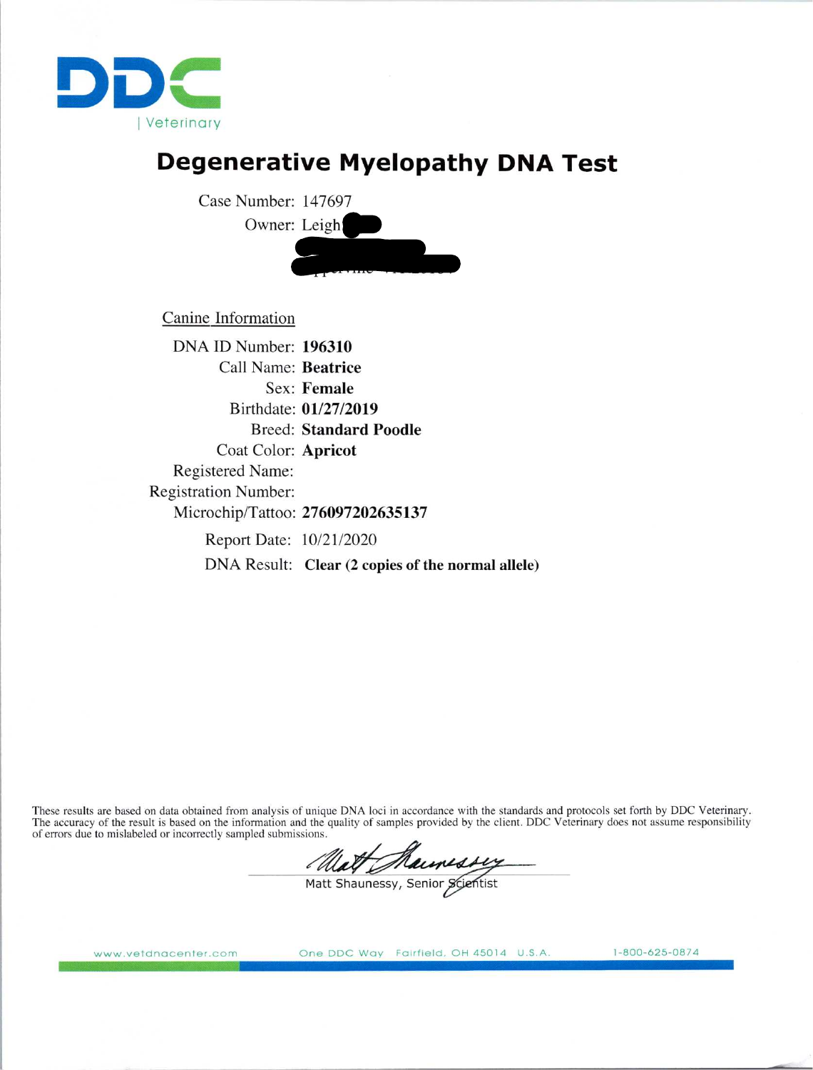

# Degenerative Myelopathy DNA Test

Case Number: 147697 Owner: Leigh 20929 Trappe Rd Upperville Va 20184

Canine Information

DNA ID Number: 196310 Call Name: Beatrice Sex: Female Birthdate: 01/27/2019 Breed: Standard Poodle Coat Color: Apricot Registered Name: Registration Number: Microchip/Tattoo: 276097202635137 Report Date: 10/21/2020 DNA Result: Clear (2 copies of the normal allele)

These results are based on data obtained from analysis of unique DNA loci in accordance with the standards and protocols set forth by DDC Veterinary. The accuracy of the result is based on the information and the quality of samples provided by the client. DDC Veterinary does not assume responsibility of errors due to mislabeled or incorrectly sampled submissions.

Matt Maunessy

www.vetdnacenter.com One DDC Way Fairfield. OH 45014 U.S.A. 1-800-625-0874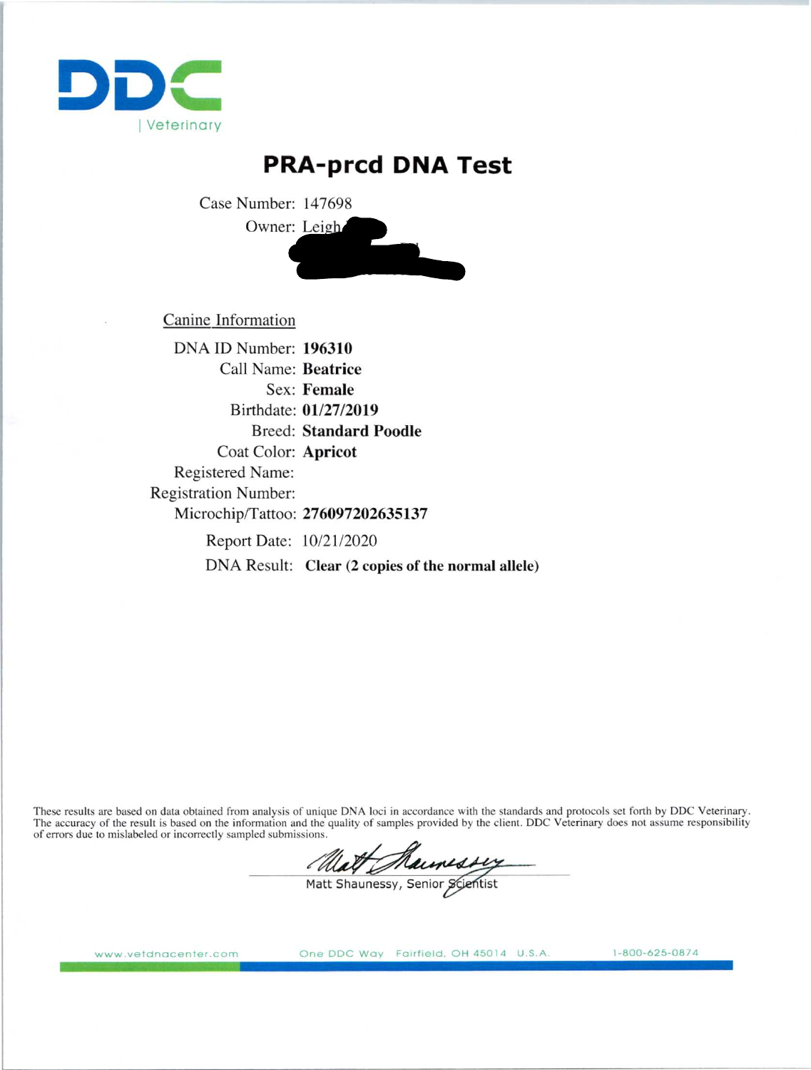

# PRA-prcd DNA Test

Case Number: 147698 Owner: Leigh



Canine Information

DNA ID Number: 196310 Call Name: Beatrice Sex: Female Birthdate: 01/27/2019 Breed: Standard Poodle Coat Color: Apricot Registered Name: Registration Number: Microchip/Tattoo: 276097202635137 Report Date: 10/21/2020 DNA Result: Clear (2 copies of the normal allele)

These results are based on data obtained from analysis of unique DNA loci in accordance with the standards and protocols set forth by DDC Veterinary. The accuracy of the result is based on the information and the quality of samples provided by the client. DDC Veterinary does not assume responsibility of errors due to mislabeled or incorrectly sampled submissions.

Matt Maunessy

www.vetdnacenter.com

One DDC Way Fairfield, OH 45014 U.S.A. 1-800-625-0874